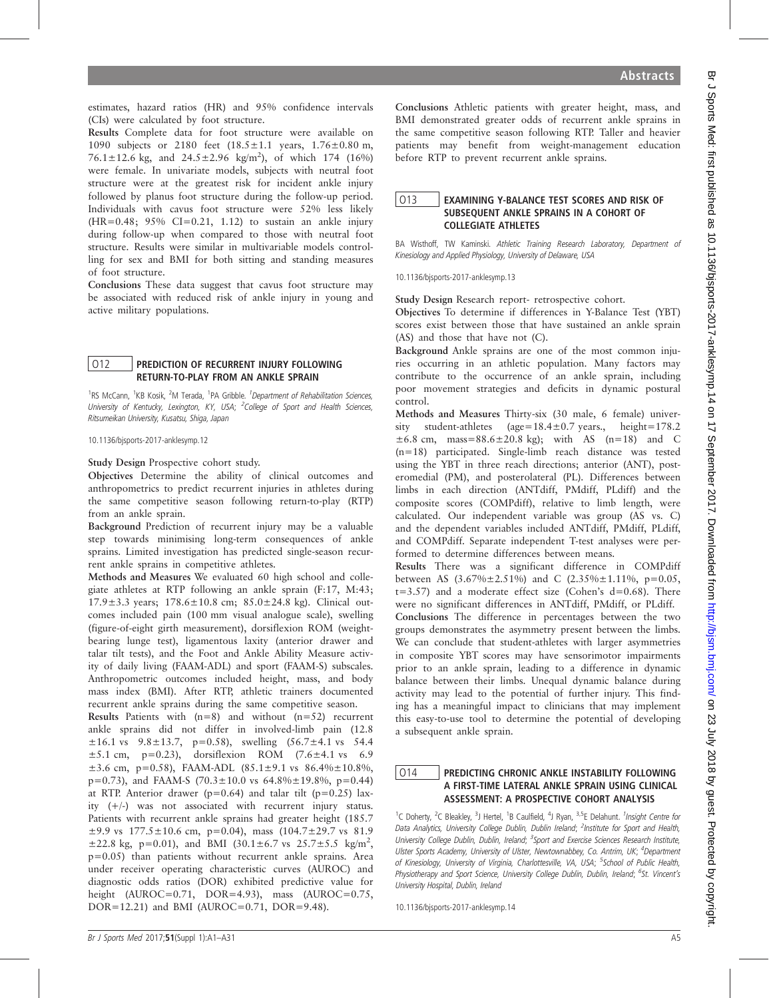estimates, hazard ratios (HR) and 95% confidence intervals (CIs) were calculated by foot structure.

Results Complete data for foot structure were available on 1090 subjects or 2180 feet  $(18.5 \pm 1.1 \text{ years}, 1.76 \pm 0.80 \text{ m},$ 76.1 $\pm$ 12.6 kg, and 24.5 $\pm$ 2.96 kg/m<sup>2</sup>), of which 174 (16%) were female. In univariate models, subjects with neutral foot structure were at the greatest risk for incident ankle injury followed by planus foot structure during the follow-up period. Individuals with cavus foot structure were 52% less likely  $(HR=0.48; 95% CI=0.21, 1.12)$  to sustain an ankle injury during follow-up when compared to those with neutral foot structure. Results were similar in multivariable models controlling for sex and BMI for both sitting and standing measures of foot structure.

Conclusions These data suggest that cavus foot structure may be associated with reduced risk of ankle injury in young and active military populations.

#### O12 PREDICTION OF RECURRENT INJURY FOLLOWING RETURN-TO-PLAY FROM AN ANKLE SPRAIN

<sup>1</sup>RS McCann, <sup>1</sup>KB Kosik, <sup>2</sup>M Terada, <sup>1</sup>PA Gribble. <sup>1</sup>Department of Rehabilitation Sciences, University of Kentucky, Lexington, KY, USA; <sup>2</sup>College of Sport and Health Sciences, Ritsumeikan University, Kusatsu, Shiga, Japan

10.1136/bjsports-2017-anklesymp.12

Study Design Prospective cohort study.

Objectives Determine the ability of clinical outcomes and anthropometrics to predict recurrent injuries in athletes during the same competitive season following return-to-play (RTP) from an ankle sprain.

Background Prediction of recurrent injury may be a valuable step towards minimising long-term consequences of ankle sprains. Limited investigation has predicted single-season recurrent ankle sprains in competitive athletes.

Methods and Measures We evaluated 60 high school and collegiate athletes at RTP following an ankle sprain (F:17, M:43; 17.9±3.3 years; 178.6±10.8 cm; 85.0±24.8 kg). Clinical outcomes included pain (100 mm visual analogue scale), swelling (figure-of-eight girth measurement), dorsiflexion ROM (weightbearing lunge test), ligamentous laxity (anterior drawer and talar tilt tests), and the Foot and Ankle Ability Measure activity of daily living (FAAM-ADL) and sport (FAAM-S) subscales. Anthropometric outcomes included height, mass, and body mass index (BMI). After RTP, athletic trainers documented recurrent ankle sprains during the same competitive season.

Results Patients with  $(n=8)$  and without  $(n=52)$  recurrent ankle sprains did not differ in involved-limb pain (12.8  $\pm 16.1$  vs 9.8 $\pm 13.7$ , p=0.58), swelling  $(56.7 \pm 4.1$  vs 54.4  $\pm 5.1$  cm, p=0.23), dorsiflexion ROM (7.6 $\pm 4.1$  vs 6.9  $\pm$ 3.6 cm, p=0.58), FAAM-ADL (85.1 $\pm$ 9.1 vs 86.4% $\pm$ 10.8%,  $p=0.73$ ), and FAAM-S (70.3 $\pm$ 10.0 vs 64.8% $\pm$ 19.8%, p=0.44) at RTP. Anterior drawer ( $p=0.64$ ) and talar tilt ( $p=0.25$ ) laxity (+/-) was not associated with recurrent injury status. Patients with recurrent ankle sprains had greater height (185.7  $\pm$ 9.9 vs 177.5 $\pm$ 10.6 cm, p=0.04), mass (104.7 $\pm$ 29.7 vs 81.9  $\pm 22.8$  kg, p=0.01), and BMI (30.1±6.7 vs 25.7±5.5 kg/m<sup>2</sup>, p=0.05) than patients without recurrent ankle sprains. Area under receiver operating characteristic curves (AUROC) and diagnostic odds ratios (DOR) exhibited predictive value for height (AUROC=0.71, DOR=4.93), mass (AUROC=0.75, DOR=12.21) and BMI (AUROC=0.71, DOR=9.48).

Conclusions Athletic patients with greater height, mass, and BMI demonstrated greater odds of recurrent ankle sprains in the same competitive season following RTP. Taller and heavier patients may benefit from weight-management education before RTP to prevent recurrent ankle sprains.

# O13 EXAMINING Y-BALANCE TEST SCORES AND RISK OF SUBSEQUENT ANKLE SPRAINS IN A COHORT OF COLLEGIATE ATHLETES

BA Wisthoff, TW Kaminski. Athletic Training Research Laboratory, Department of Kinesiology and Applied Physiology, University of Delaware, USA

10.1136/bjsports-2017-anklesymp.13

Study Design Research report- retrospective cohort.

Objectives To determine if differences in Y-Balance Test (YBT) scores exist between those that have sustained an ankle sprain (AS) and those that have not (C).

Background Ankle sprains are one of the most common injuries occurring in an athletic population. Many factors may contribute to the occurrence of an ankle sprain, including poor movement strategies and deficits in dynamic postural control.

Methods and Measures Thirty-six (30 male, 6 female) university student-athletes (age=18.4±0.7 years., height=178.2  $\pm 6.8$  cm, mass=88.6 $\pm 20.8$  kg); with AS (n=18) and C (n=18) participated. Single-limb reach distance was tested using the YBT in three reach directions; anterior (ANT), posteromedial (PM), and posterolateral (PL). Differences between limbs in each direction (ANTdiff, PMdiff, PLdiff) and the composite scores (COMPdiff), relative to limb length, were calculated. Our independent variable was group (AS vs. C) and the dependent variables included ANTdiff, PMdiff, PLdiff, and COMPdiff. Separate independent T-test analyses were performed to determine differences between means.

Results There was a significant difference in COMPdiff between AS  $(3.67\% \pm 2.51\%)$  and C  $(2.35\% \pm 1.11\%)$ , p=0.05,  $t=3.57$ ) and a moderate effect size (Cohen's  $d=0.68$ ). There were no significant differences in ANTdiff, PMdiff, or PLdiff. Conclusions The difference in percentages between the two groups demonstrates the asymmetry present between the limbs. We can conclude that student-athletes with larger asymmetries in composite YBT scores may have sensorimotor impairments prior to an ankle sprain, leading to a difference in dynamic balance between their limbs. Unequal dynamic balance during activity may lead to the potential of further injury. This finding has a meaningful impact to clinicians that may implement this easy-to-use tool to determine the potential of developing a subsequent ankle sprain.

### O14 PREDICTING CHRONIC ANKLE INSTABILITY FOLLOWING A FIRST-TIME LATERAL ANKLE SPRAIN USING CLINICAL ASSESSMENT: A PROSPECTIVE COHORT ANALYSIS

<sup>1</sup>C Doherty, <sup>2</sup>C Bleakley, <sup>3</sup>J Hertel, <sup>1</sup>B Caulfield, <sup>4</sup>J Ryan, <sup>3,5</sup>E Delahunt. <sup>1</sup>Insight Centre for Data Analytics, University College Dublin, Dublin Ireland; <sup>2</sup>Institute for Sport and Health, University College Dublin, Dublin, Ireland; <sup>3</sup>Sport and Exercise Sciences Research Institute, Ulster Sports Academy, University of Ulster, Newtownabbey, Co. Antrim, UK; <sup>4</sup>Department of Kinesiology, University of Virginia, Charlottesville, VA, USA; <sup>5</sup>School of Public Health, Physiotherapy and Sport Science, University College Dublin, Dublin, Ireland; <sup>6</sup>St. Vincent's University Hospital, Dublin, Ireland

10.1136/bjsports-2017-anklesymp.14